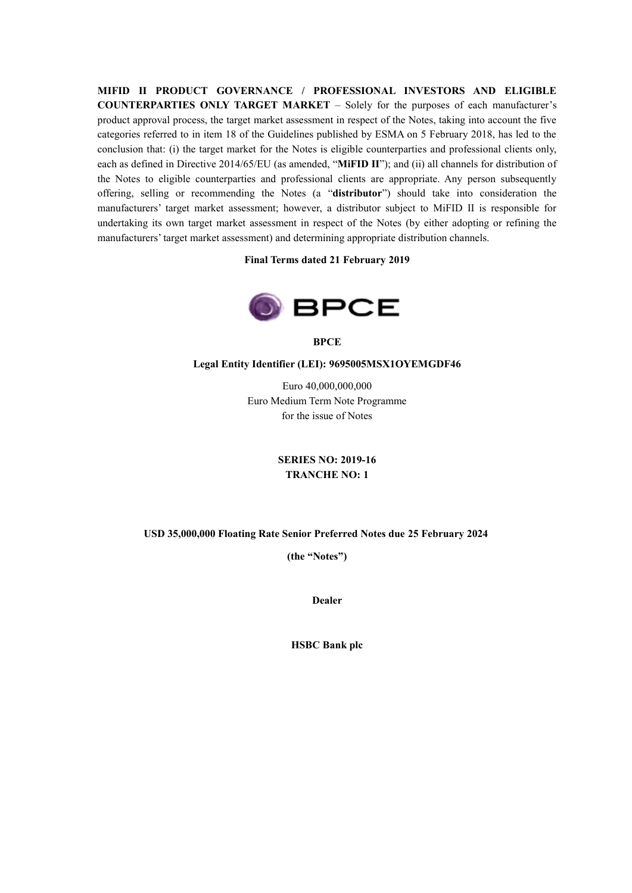**MIFID II PRODUCT GOVERNANCE / PROFESSIONAL INVESTORS AND ELIGIBLE COUNTERPARTIES ONLY TARGET MARKET** – Solely for the purposes of each manufacturer's product approval process, the target market assessment in respect of the Notes, taking into account the five categories referred to in item 18 of the Guidelines published by ESMA on 5 February 2018, has led to the conclusion that: (i) the target market for the Notes is eligible counterparties and professional clients only, each as defined in Directive 2014/65/EU (as amended, "**MiFID II**"); and (ii) all channels for distribution of the Notes to eligible counterparties and professional clients are appropriate. Any person subsequently offering, selling or recommending the Notes (a "**distributor**") should take into consideration the manufacturers' target market assessment; however, a distributor subject to MiFID II is responsible for undertaking its own target market assessment in respect of the Notes (by either adopting or refining the manufacturers' target market assessment) and determining appropriate distribution channels.

### **Final Terms dated 21 February 2019**



**BPCE**

#### **Legal Entity Identifier (LEI): 9695005MSX1OYEMGDF46**

Euro 40,000,000,000 Euro Medium Term Note Programme for the issue of Notes

> **SERIES NO: 2019-16 TRANCHE NO: 1**

#### **USD 35,000,000 Floating Rate Senior Preferred Notes due 25 February 2024**

 **(the "Notes")**

**Dealer**

**HSBC Bank plc**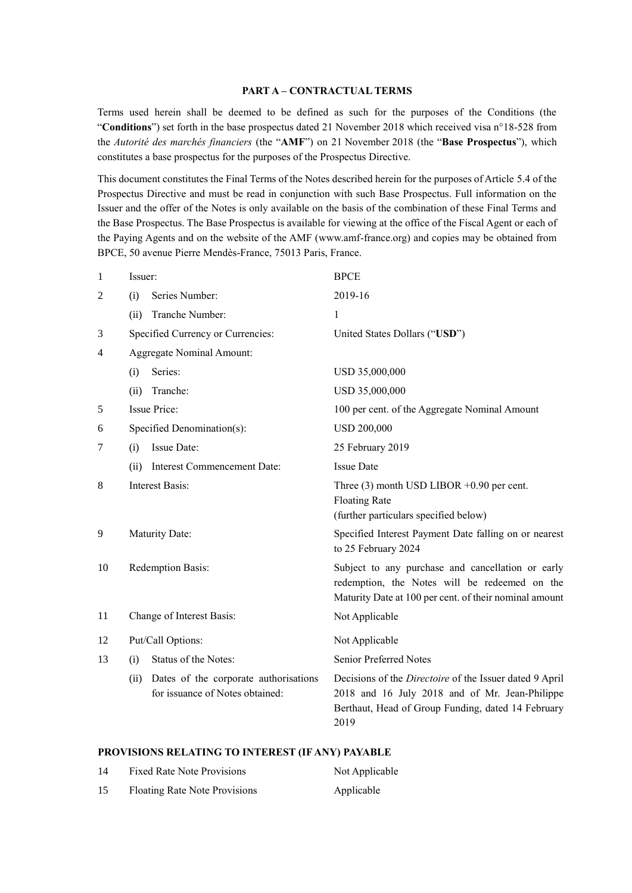### **PART A – CONTRACTUAL TERMS**

Terms used herein shall be deemed to be defined as such for the purposes of the Conditions (the "**Conditions**") set forth in the base prospectus dated 21 November 2018 which received visa n°18-528 from the *Autorité des marchés financiers* (the "**AMF**") on 21 November 2018 (the "**Base Prospectus**"), which constitutes a base prospectus for the purposes of the Prospectus Directive.

This document constitutes the Final Terms of the Notes described herein for the purposes of Article 5.4 of the Prospectus Directive and must be read in conjunction with such Base Prospectus. Full information on the Issuer and the offer of the Notes is only available on the basis of the combination of these Final Terms and the Base Prospectus. The Base Prospectus is available for viewing at the office of the Fiscal Agent or each of the Paying Agents and on the website of the AMF (www.amf-france.org) and copies may be obtained from BPCE, 50 avenue Pierre Mendès-France, 75013 Paris, France.

| $\mathbf{1}$ | Issuer:                                                                          | <b>BPCE</b>                                                                                                                                                             |
|--------------|----------------------------------------------------------------------------------|-------------------------------------------------------------------------------------------------------------------------------------------------------------------------|
| 2            | Series Number:<br>(i)                                                            | 2019-16                                                                                                                                                                 |
|              | Tranche Number:<br>(ii)                                                          | $\mathbf{1}$                                                                                                                                                            |
| 3            | Specified Currency or Currencies:                                                | United States Dollars ("USD")                                                                                                                                           |
| 4            | <b>Aggregate Nominal Amount:</b>                                                 |                                                                                                                                                                         |
|              | Series:<br>(i)                                                                   | USD 35,000,000                                                                                                                                                          |
|              | Tranche:<br>(ii)                                                                 | USD 35,000,000                                                                                                                                                          |
| 5            | <b>Issue Price:</b>                                                              | 100 per cent. of the Aggregate Nominal Amount                                                                                                                           |
| 6            | Specified Denomination(s):                                                       | <b>USD 200,000</b>                                                                                                                                                      |
| 7            | Issue Date:<br>(i)                                                               | 25 February 2019                                                                                                                                                        |
|              | <b>Interest Commencement Date:</b><br>(ii)                                       | <b>Issue Date</b>                                                                                                                                                       |
| 8            | <b>Interest Basis:</b>                                                           | Three $(3)$ month USD LIBOR +0.90 per cent.<br><b>Floating Rate</b><br>(further particulars specified below)                                                            |
| 9            | Maturity Date:                                                                   | Specified Interest Payment Date falling on or nearest<br>to 25 February 2024                                                                                            |
| 10           | Redemption Basis:                                                                | Subject to any purchase and cancellation or early<br>redemption, the Notes will be redeemed on the<br>Maturity Date at 100 per cent. of their nominal amount            |
| 11           | Change of Interest Basis:                                                        | Not Applicable                                                                                                                                                          |
| 12           | Put/Call Options:                                                                | Not Applicable                                                                                                                                                          |
| 13           | Status of the Notes:<br>(i)                                                      | Senior Preferred Notes                                                                                                                                                  |
|              | Dates of the corporate authorisations<br>(ii)<br>for issuance of Notes obtained: | Decisions of the Directoire of the Issuer dated 9 April<br>2018 and 16 July 2018 and of Mr. Jean-Philippe<br>Berthaut, Head of Group Funding, dated 14 February<br>2019 |

### **PROVISIONS RELATING TO INTEREST (IF ANY) PAYABLE**

| 14 | <b>Fixed Rate Note Provisions</b> | Not Applicable |
|----|-----------------------------------|----------------|
| 15 | Floating Rate Note Provisions     | Applicable     |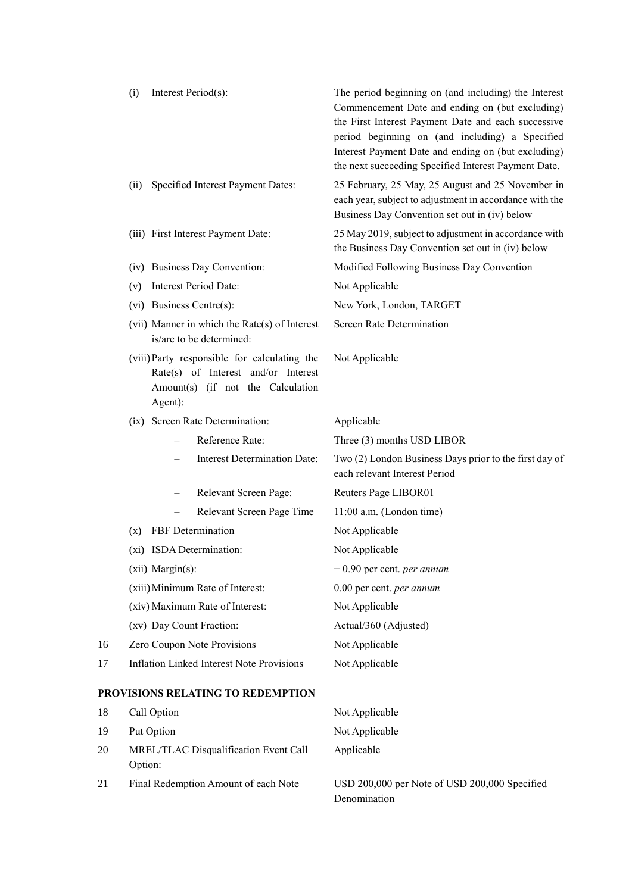|    | Interest Period(s):<br>(i)                                                                                                          | The period beginning on (and including) the Interest<br>Commencement Date and ending on (but excluding)<br>the First Interest Payment Date and each successive<br>period beginning on (and including) a Specified<br>Interest Payment Date and ending on (but excluding)<br>the next succeeding Specified Interest Payment Date. |
|----|-------------------------------------------------------------------------------------------------------------------------------------|----------------------------------------------------------------------------------------------------------------------------------------------------------------------------------------------------------------------------------------------------------------------------------------------------------------------------------|
|    | Specified Interest Payment Dates:<br>(ii)                                                                                           | 25 February, 25 May, 25 August and 25 November in<br>each year, subject to adjustment in accordance with the<br>Business Day Convention set out in (iv) below                                                                                                                                                                    |
|    | (iii) First Interest Payment Date:                                                                                                  | 25 May 2019, subject to adjustment in accordance with<br>the Business Day Convention set out in (iv) below                                                                                                                                                                                                                       |
|    | (iv) Business Day Convention:                                                                                                       | Modified Following Business Day Convention                                                                                                                                                                                                                                                                                       |
|    | Interest Period Date:<br>(v)                                                                                                        | Not Applicable                                                                                                                                                                                                                                                                                                                   |
|    | (vi) Business Centre(s):                                                                                                            | New York, London, TARGET                                                                                                                                                                                                                                                                                                         |
|    | (vii) Manner in which the Rate(s) of Interest<br>is/are to be determined:                                                           | <b>Screen Rate Determination</b>                                                                                                                                                                                                                                                                                                 |
|    | (viii) Party responsible for calculating the<br>Rate(s) of Interest and/or Interest<br>Amount(s) (if not the Calculation<br>Agent): | Not Applicable                                                                                                                                                                                                                                                                                                                   |
|    | (ix) Screen Rate Determination:                                                                                                     | Applicable                                                                                                                                                                                                                                                                                                                       |
|    | Reference Rate:                                                                                                                     | Three (3) months USD LIBOR                                                                                                                                                                                                                                                                                                       |
|    | <b>Interest Determination Date:</b>                                                                                                 | Two (2) London Business Days prior to the first day of<br>each relevant Interest Period                                                                                                                                                                                                                                          |
|    | Relevant Screen Page:                                                                                                               | Reuters Page LIBOR01                                                                                                                                                                                                                                                                                                             |
|    | Relevant Screen Page Time                                                                                                           | 11:00 a.m. (London time)                                                                                                                                                                                                                                                                                                         |
|    | FBF Determination<br>(x)                                                                                                            | Not Applicable                                                                                                                                                                                                                                                                                                                   |
|    | (xi) ISDA Determination:                                                                                                            | Not Applicable                                                                                                                                                                                                                                                                                                                   |
|    | (xii) Margin(s):                                                                                                                    | $+0.90$ per cent. <i>per annum</i>                                                                                                                                                                                                                                                                                               |
|    | (xiii) Minimum Rate of Interest:                                                                                                    | 0.00 per cent. per annum                                                                                                                                                                                                                                                                                                         |
|    | (xiv) Maximum Rate of Interest:                                                                                                     | Not Applicable                                                                                                                                                                                                                                                                                                                   |
|    | (xv) Day Count Fraction:                                                                                                            | Actual/360 (Adjusted)                                                                                                                                                                                                                                                                                                            |
| 16 | Zero Coupon Note Provisions                                                                                                         | Not Applicable                                                                                                                                                                                                                                                                                                                   |
| 17 | <b>Inflation Linked Interest Note Provisions</b>                                                                                    | Not Applicable                                                                                                                                                                                                                                                                                                                   |
|    | PROVISIONS RELATING TO REDEMPTION                                                                                                   |                                                                                                                                                                                                                                                                                                                                  |
| 18 | Call Option                                                                                                                         | Not Applicable                                                                                                                                                                                                                                                                                                                   |
| 19 | Put Option                                                                                                                          | Not Applicable                                                                                                                                                                                                                                                                                                                   |
| 20 | MREL/TLAC Disqualification Event Call<br>Option:                                                                                    | Applicable                                                                                                                                                                                                                                                                                                                       |
| 21 | Final Redemption Amount of each Note                                                                                                | USD 200,000 per Note of USD 200,000 Specified<br>Denomination                                                                                                                                                                                                                                                                    |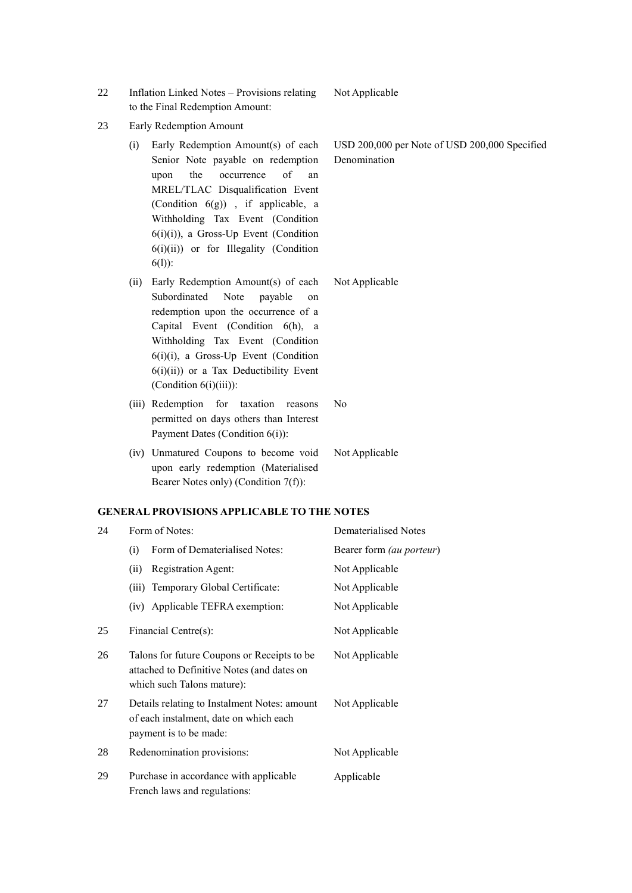- 22 Inflation Linked Notes Provisions relating to the Final Redemption Amount:
- 23 Early Redemption Amount
	- (i) Early Redemption Amount(s) of each Senior Note payable on redemption upon the occurrence of an MREL/TLAC Disqualification Event (Condition 6(g)) , if applicable, a Withholding Tax Event (Condition 6(i)(i)), a Gross-Up Event (Condition 6(i)(ii)) or for Illegality (Condition 6(l)):
	- (ii) Early Redemption Amount(s) of each Subordinated Note payable on redemption upon the occurrence of a Capital Event (Condition 6(h), a Withholding Tax Event (Condition 6(i)(i), a Gross-Up Event (Condition  $6(i)(ii)$  or a Tax Deductibility Event (Condition 6(i)(iii)):
	- (iii) Redemption for taxation reasons permitted on days others than Interest Payment Dates (Condition 6(i)): No
	- (iv) Unmatured Coupons to become void upon early redemption (Materialised Bearer Notes only) (Condition 7(f)):

### **GENERAL PROVISIONS APPLICABLE TO THE NOTES**

| 24 | Form of Notes:                                                                                                          | <b>Dematerialised Notes</b> |
|----|-------------------------------------------------------------------------------------------------------------------------|-----------------------------|
|    | Form of Dematerialised Notes:<br>(i)                                                                                    | Bearer form (au porteur)    |
|    | Registration Agent:<br>(ii)                                                                                             | Not Applicable              |
|    | (iii) Temporary Global Certificate:                                                                                     | Not Applicable              |
|    | (iv) Applicable TEFRA exemption:                                                                                        | Not Applicable              |
| 25 | Financial Centre(s):                                                                                                    | Not Applicable              |
| 26 | Talons for future Coupons or Receipts to be<br>attached to Definitive Notes (and dates on<br>which such Talons mature): | Not Applicable              |
| 27 | Details relating to Instalment Notes: amount<br>of each instalment, date on which each<br>payment is to be made:        | Not Applicable              |
| 28 | Redenomination provisions:                                                                                              | Not Applicable              |
| 29 | Purchase in accordance with applicable<br>French laws and regulations:                                                  | Applicable                  |

USD 200,000 per Note of USD 200,000 Specified Denomination

Not Applicable

Not Applicable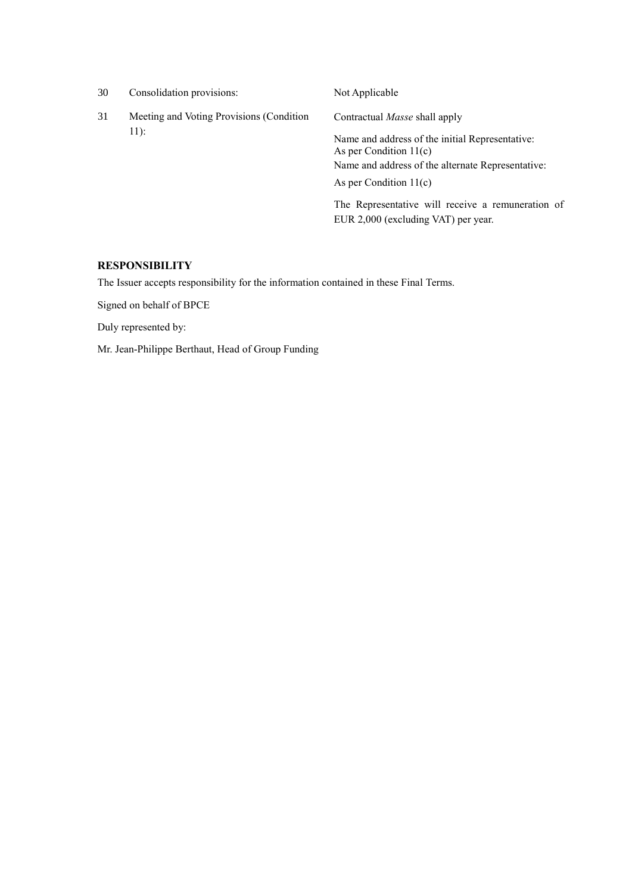| 30 | Consolidation provisions:                          | Not Applicable                                                                           |
|----|----------------------------------------------------|------------------------------------------------------------------------------------------|
| 31 | Meeting and Voting Provisions (Condition<br>$11$ : | Contractual <i>Masse</i> shall apply                                                     |
|    |                                                    | Name and address of the initial Representative:<br>As per Condition $11(c)$              |
|    |                                                    | Name and address of the alternate Representative:                                        |
|    |                                                    | As per Condition $11(c)$                                                                 |
|    |                                                    | The Representative will receive a remuneration of<br>EUR 2,000 (excluding VAT) per year. |

## **RESPONSIBILITY**

The Issuer accepts responsibility for the information contained in these Final Terms.

Signed on behalf of BPCE

Duly represented by:

Mr. Jean-Philippe Berthaut, Head of Group Funding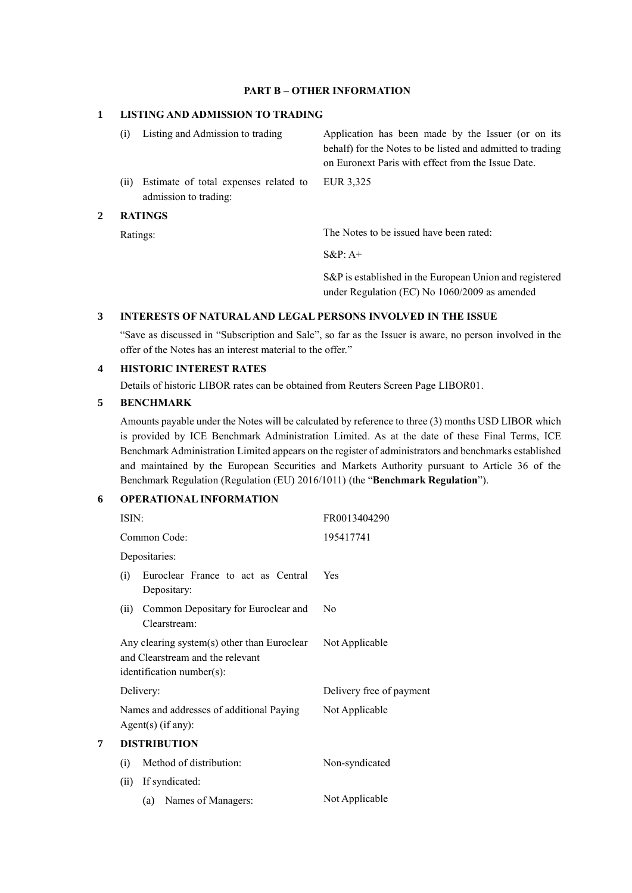## **PART B – OTHER INFORMATION**

## **1 LISTING AND ADMISSION TO TRADING**

| $\mathbf{2}^-$ |      | <b>RATINGS</b>                                                 |                                                                                                                  |
|----------------|------|----------------------------------------------------------------|------------------------------------------------------------------------------------------------------------------|
|                | (ii) | Estimate of total expenses related to<br>admission to trading: | EUR 3.325                                                                                                        |
|                |      |                                                                | behalf) for the Notes to be listed and admitted to trading<br>on Euronext Paris with effect from the Issue Date. |
|                |      | Listing and Admission to trading                               | Application has been made by the Issuer (or on its                                                               |

Ratings: The Notes to be issued have been rated:

S&P: A+

S&P is established in the European Union and registered under Regulation (EC) No 1060/2009 as amended

### **3 INTERESTS OF NATURAL AND LEGAL PERSONS INVOLVED IN THE ISSUE**

"Save as discussed in "Subscription and Sale", so far as the Issuer is aware, no person involved in the offer of the Notes has an interest material to the offer."

# **4 HISTORIC INTEREST RATES**

Details of historic LIBOR rates can be obtained from Reuters Screen Page LIBOR01.

### **5 BENCHMARK**

Amounts payable under the Notes will be calculated by reference to three (3) months USD LIBOR which is provided by ICE Benchmark Administration Limited. As at the date of these Final Terms, ICE Benchmark Administration Limited appears on the register of administrators and benchmarks established and maintained by the European Securities and Markets Authority pursuant to Article 36 of the Benchmark Regulation (Regulation (EU) 2016/1011) (the "**Benchmark Regulation**").

### **6 OPERATIONAL INFORMATION**

|   | ISIN:                                                                                                           | FR0013404290             |  |
|---|-----------------------------------------------------------------------------------------------------------------|--------------------------|--|
|   | Common Code:                                                                                                    | 195417741                |  |
|   | Depositaries:                                                                                                   |                          |  |
|   | Euroclear France to act as Central<br>(i)<br>Depositary:                                                        | Yes                      |  |
|   | Common Depositary for Euroclear and<br>(ii)<br>Clearstream:                                                     | No                       |  |
|   | Any clearing system(s) other than Euroclear<br>and Clearstream and the relevant<br>$identification number(s)$ : | Not Applicable           |  |
|   | Delivery:                                                                                                       | Delivery free of payment |  |
|   | Names and addresses of additional Paying<br>$Agent(s)$ (if any):                                                | Not Applicable           |  |
| 7 | <b>DISTRIBUTION</b>                                                                                             |                          |  |
|   | Method of distribution:<br>(i)                                                                                  | Non-syndicated           |  |
|   | If syndicated:<br>(ii)                                                                                          |                          |  |
|   | (a) Names of Managers:                                                                                          | Not Applicable           |  |